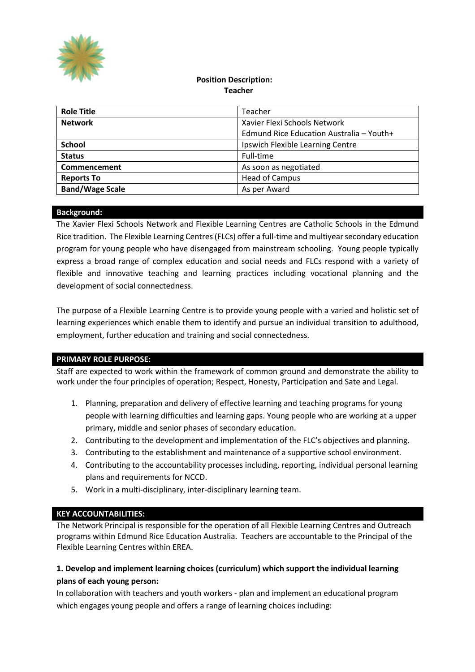

### **Position Description: Teacher**

| <b>Role Title</b>      | Teacher                                  |
|------------------------|------------------------------------------|
| <b>Network</b>         | Xavier Flexi Schools Network             |
|                        | Edmund Rice Education Australia - Youth+ |
| <b>School</b>          | Ipswich Flexible Learning Centre         |
| <b>Status</b>          | Full-time                                |
| Commencement           | As soon as negotiated                    |
| <b>Reports To</b>      | <b>Head of Campus</b>                    |
| <b>Band/Wage Scale</b> | As per Award                             |

### **Background:**

The Xavier Flexi Schools Network and Flexible Learning Centres are Catholic Schools in the Edmund Rice tradition. The Flexible Learning Centres (FLCs) offer a full-time and multiyear secondary education program for young people who have disengaged from mainstream schooling. Young people typically express a broad range of complex education and social needs and FLCs respond with a variety of flexible and innovative teaching and learning practices including vocational planning and the development of social connectedness.

The purpose of a Flexible Learning Centre is to provide young people with a varied and holistic set of learning experiences which enable them to identify and pursue an individual transition to adulthood, employment, further education and training and social connectedness.

# **PRIMARY ROLE PURPOSE:**

Staff are expected to work within the framework of common ground and demonstrate the ability to work under the four principles of operation; Respect, Honesty, Participation and Sate and Legal.

- 1. Planning, preparation and delivery of effective learning and teaching programs for young people with learning difficulties and learning gaps. Young people who are working at a upper primary, middle and senior phases of secondary education.
- 2. Contributing to the development and implementation of the FLC's objectives and planning.
- 3. Contributing to the establishment and maintenance of a supportive school environment.
- 4. Contributing to the accountability processes including, reporting, individual personal learning plans and requirements for NCCD.
- 5. Work in a multi-disciplinary, inter-disciplinary learning team.

# **KEY ACCOUNTABILITIES:**

The Network Principal is responsible for the operation of all Flexible Learning Centres and Outreach programs within Edmund Rice Education Australia. Teachers are accountable to the Principal of the Flexible Learning Centres within EREA.

# **1. Develop and implement learning choices (curriculum) which support the individual learning plans of each young person:**

In collaboration with teachers and youth workers - plan and implement an educational program which engages young people and offers a range of learning choices including: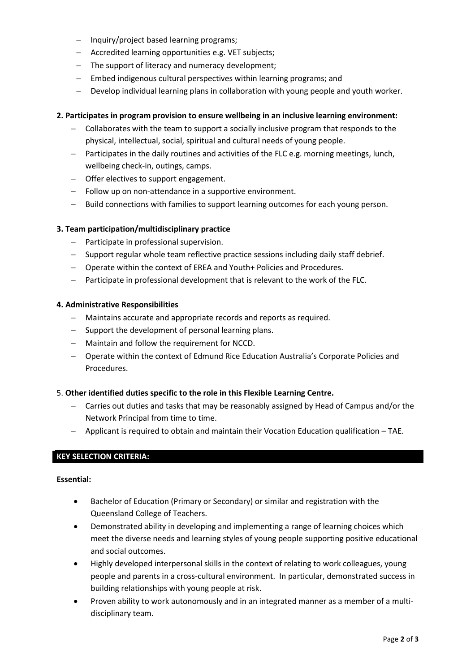- − Inquiry/project based learning programs;
- − Accredited learning opportunities e.g. VET subjects;
- − The support of literacy and numeracy development;
- − Embed indigenous cultural perspectives within learning programs; and
- − Develop individual learning plans in collaboration with young people and youth worker.

### **2. Participates in program provision to ensure wellbeing in an inclusive learning environment:**

- − Collaborates with the team to support a socially inclusive program that responds to the physical, intellectual, social, spiritual and cultural needs of young people.
- − Participates in the daily routines and activities of the FLC e.g. morning meetings, lunch, wellbeing check-in, outings, camps.
- − Offer electives to support engagement.
- − Follow up on non-attendance in a supportive environment.
- − Build connections with families to support learning outcomes for each young person.

### **3. Team participation/multidisciplinary practice**

- − Participate in professional supervision.
- − Support regular whole team reflective practice sessions including daily staff debrief.
- − Operate within the context of EREA and Youth+ Policies and Procedures.
- − Participate in professional development that is relevant to the work of the FLC.

### **4. Administrative Responsibilities**

- − Maintains accurate and appropriate records and reports as required.
- − Support the development of personal learning plans.
- − Maintain and follow the requirement for NCCD.
- − Operate within the context of Edmund Rice Education Australia's Corporate Policies and Procedures.

### 5. **Other identified duties specific to the role in this Flexible Learning Centre.**

- − Carries out duties and tasks that may be reasonably assigned by Head of Campus and/or the Network Principal from time to time.
- − Applicant is required to obtain and maintain their Vocation Education qualification TAE.

# **KEY SELECTION CRITERIA:**

#### **Essential:**

- Bachelor of Education (Primary or Secondary) or similar and registration with the Queensland College of Teachers.
- Demonstrated ability in developing and implementing a range of learning choices which meet the diverse needs and learning styles of young people supporting positive educational and social outcomes.
- Highly developed interpersonal skills in the context of relating to work colleagues, young people and parents in a cross-cultural environment. In particular, demonstrated success in building relationships with young people at risk.
- Proven ability to work autonomously and in an integrated manner as a member of a multidisciplinary team.